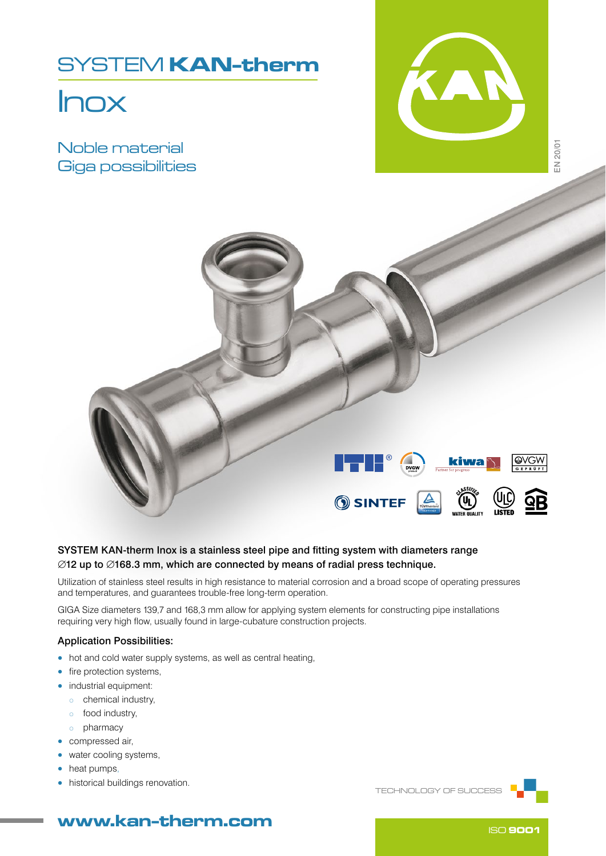## SYSTEM KAN-therm

# Inox

Noble material Giga possibilities





## SYSTEM KAN-therm Inox is a stainless steel pipe and fitting system with diameters range ∅12 up to ∅168.3 mm, which are connected by means of radial press technique.

Utilization of stainless steel results in high resistance to material corrosion and a broad scope of operating pressures and temperatures, and guarantees trouble-free long-term operation.

GIGA Size diameters 139,7 and 168,3 mm allow for applying system elements for constructing pipe installations requiring very high flow, usually found in large-cubature construction projects.

### Application Possibilities:

- hot and cold water supply systems, as well as central heating,
- fire protection systems,
- industrial equipment:
	- o chemical industry,
	- o food industry,
	- o pharmacy
- compressed air,
- water cooling systems,
- heat pumps,
- historical buildings renovation.

TECHNOLOGY OF SUCCESS



## www.kan-therm.com